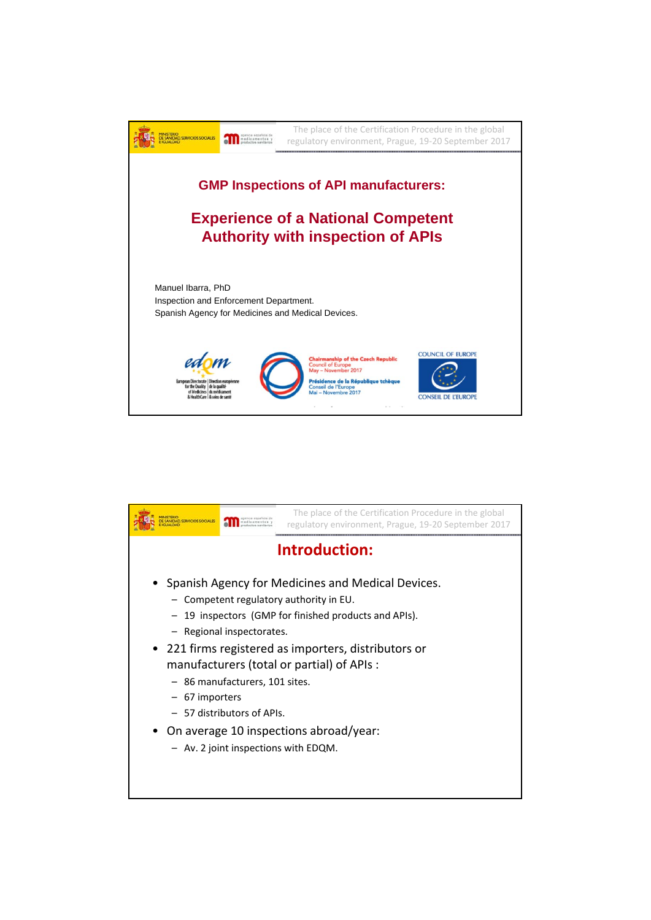

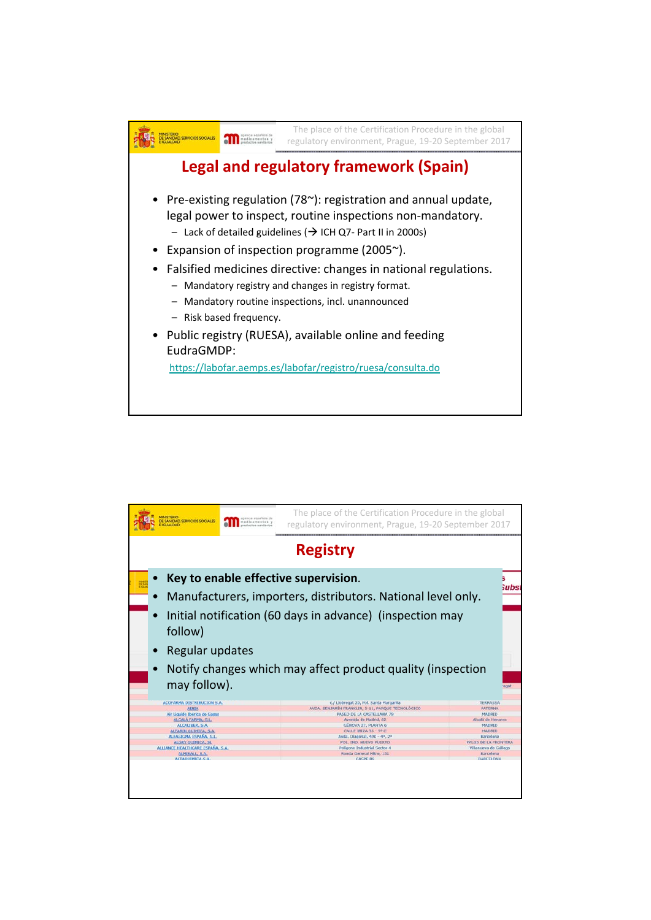

| <b>ESANIDAD, SERVICIOS SOCIALES</b><br>medicamentos y<br>ductor senitarios                                                                                                                                                                                                           |                                                                                                                                                                           |  | The place of the Certification Procedure in the global<br>regulatory environment, Prague, 19-20 September 2017                                                                                                 |                                                                                                                                                    |  |  |  |
|--------------------------------------------------------------------------------------------------------------------------------------------------------------------------------------------------------------------------------------------------------------------------------------|---------------------------------------------------------------------------------------------------------------------------------------------------------------------------|--|----------------------------------------------------------------------------------------------------------------------------------------------------------------------------------------------------------------|----------------------------------------------------------------------------------------------------------------------------------------------------|--|--|--|
| <b>Registry</b>                                                                                                                                                                                                                                                                      |                                                                                                                                                                           |  |                                                                                                                                                                                                                |                                                                                                                                                    |  |  |  |
|                                                                                                                                                                                                                                                                                      | Key to enable effective supervision.<br>ubs:<br>Manufacturers, importers, distributors. National level only.<br>Initial notification (60 days in advance) (inspection may |  |                                                                                                                                                                                                                |                                                                                                                                                    |  |  |  |
|                                                                                                                                                                                                                                                                                      | follow)<br>Regular updates<br>Notify changes which may affect product quality (inspection                                                                                 |  |                                                                                                                                                                                                                |                                                                                                                                                    |  |  |  |
| may follow).<br>egat<br>ACOFARMA DISTRIBUCION S.A.<br>c./ Llobregat 20, Pol. Santa Margarita<br><b>TERRASSA</b><br>AVDA. BENJAMÍN FRANKLIN, 5-11, PARQUE TECNOLÓGICO<br><b>PATERNA</b><br><b>ADILA</b><br>Air Liquide Ibérica de Gases<br>PASEO DE LA CASTELLANA 79<br><b>MADRID</b> |                                                                                                                                                                           |  |                                                                                                                                                                                                                |                                                                                                                                                    |  |  |  |
| ALCALA FARMA, S.L.<br>ALCALIBER, S.A.<br>ALFARIN QUIMICA, S.A.<br>ALFASIGMA ESPAÑA, S.L.<br>ALGRY OUIMICA, SL<br>ALLIANCE HEALTHCARE ESPAÑA, S.A.<br>ALMIRALL S.A.<br>ALTAQUIMICA S.A.                                                                                               |                                                                                                                                                                           |  | Avenida de Madrid, 82<br>GENOVA 27, PLANTA 6<br>CALLE 1812A 35 - 5° C<br>Avda. Diagonal, 490 - 49, 2ª<br>POL. IND. NUEVO PUERTO<br>Poligono Industrial Sector 4<br>Ronda General Mitre, 151<br><b>CASPE B6</b> | Alcala de Henares<br><b>MADRID</b><br><b>MADRID</b><br>Barcelona<br>PALOS DE LA FRONTERA<br>Villanueva de Gállego<br>Barcelona<br><b>BARCELONA</b> |  |  |  |
|                                                                                                                                                                                                                                                                                      |                                                                                                                                                                           |  |                                                                                                                                                                                                                |                                                                                                                                                    |  |  |  |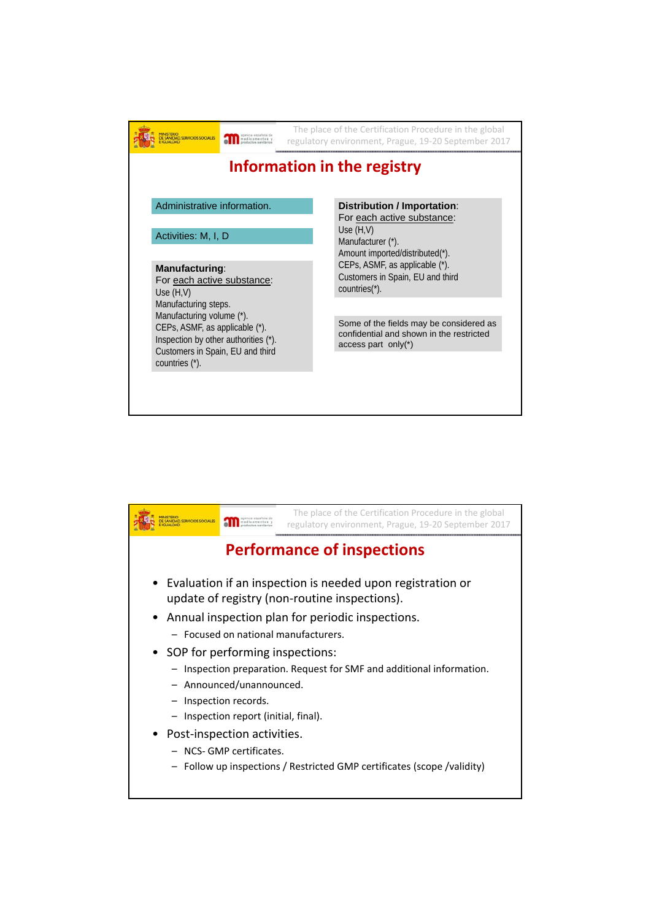|                                                              |                                                                                                                                         | The place of the Certification Procedure in the global<br>regulatory environment, Prague, 19-20 September 2017 |                                                                                                               |  |
|--------------------------------------------------------------|-----------------------------------------------------------------------------------------------------------------------------------------|----------------------------------------------------------------------------------------------------------------|---------------------------------------------------------------------------------------------------------------|--|
|                                                              |                                                                                                                                         |                                                                                                                | Information in the registry                                                                                   |  |
|                                                              | Administrative information.<br>Activities: M, I, D                                                                                      |                                                                                                                | <b>Distribution / Importation:</b><br>For each active substance:                                              |  |
|                                                              |                                                                                                                                         |                                                                                                                | Use $(H,V)$<br>Manufacturer (*).<br>Amount imported/distributed(*).                                           |  |
| Manufacturing:<br>For each active substance:<br>Use $(H, V)$ |                                                                                                                                         |                                                                                                                | CEPs, ASMF, as applicable (*).<br>Customers in Spain, EU and third<br>countries(*).                           |  |
| Manufacturing steps.                                         |                                                                                                                                         |                                                                                                                |                                                                                                               |  |
| countries (*).                                               | Manufacturing volume (*).<br>CEPs, ASMF, as applicable (*).<br>Inspection by other authorities (*).<br>Customers in Spain, EU and third |                                                                                                                | Some of the fields may be considered as<br>confidential and shown in the restricted<br>access part only $(*)$ |  |
|                                                              |                                                                                                                                         |                                                                                                                |                                                                                                               |  |

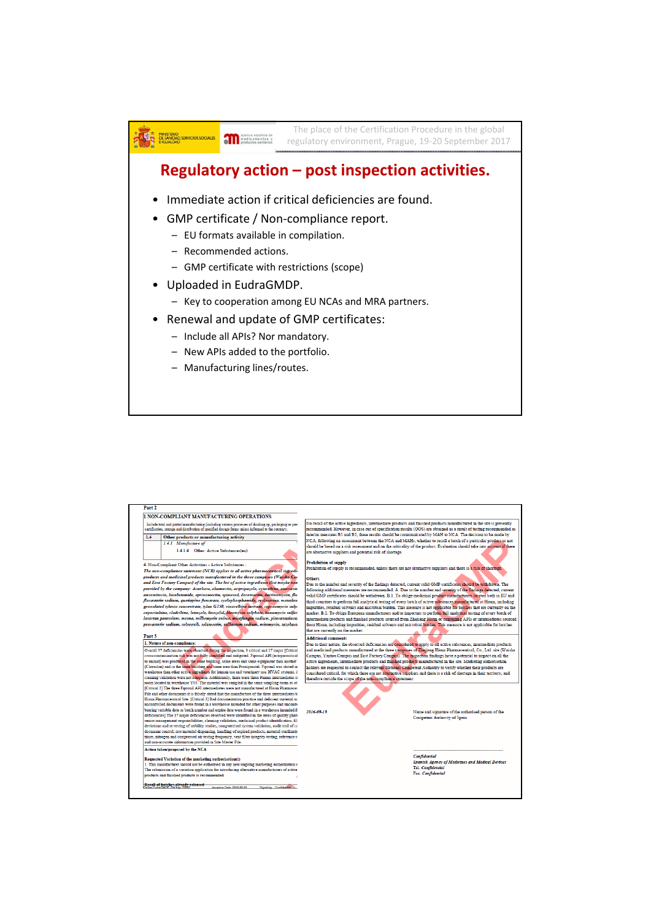

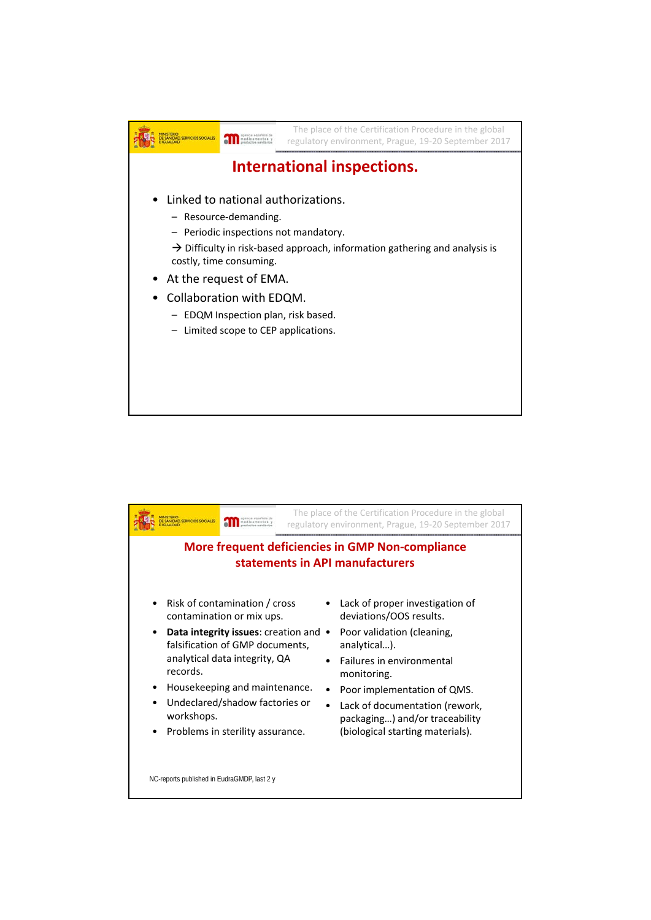